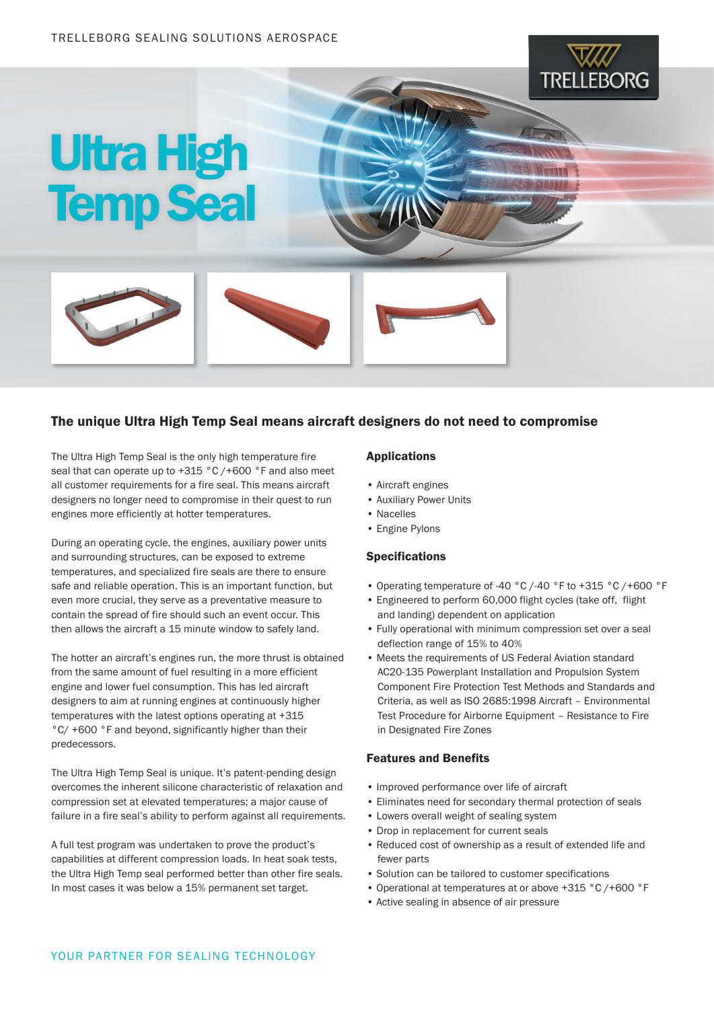



## The unique Ultra High Temp Seal means aircraft designers do not need to compromise

The Ultra High Temp Seal is the only high temperature fire seal that can operate up to +315 °C /+600 °F and also meet all customer requirements for a fire seal. This means aircraft designers no longer need to compromise in their quest to run engines more efficiently at hotter temperatures.

During an operating cycle, the engines, auxiliary power units and surrounding structures, can be exposed to extreme temperatures, and specialized fire seals are there to ensure safe and reliable operation. This is an important function, but even more crucial, they serve as a preventative measure to contain the spread of fire should such an event occur. This then allows the aircraft a 15 minute window to safely land.

The hotter an aircraft's engines run, the more thrust is obtained from the same amount of fuel resulting in a more efficient engine and lower fuel consumption. This has led aircraft designers to aim at running engines at continuously higher temperatures with the latest options operating at +315 °C/ +600 °F and beyond, significantly higher than their predecessors.

The Ultra High Temp Seal is unique. It's patent-pending design overcomes the inherent silicone characteristic of relaxation and compression set at elevated temperatures; a major cause of failure in a fire seal's ability to perform against all requirements.

A full test program was undertaken to prove the product's capabilities at different compression loads. In heat soak tests, the Ultra High Temp seal performed better than other fire seals. In most cases it was below a 15% permanent set target.

#### Applications

- Aircraft engines
- Auxiliary Power Units
- Nacelles
- Engine Pylons

#### Specifications

• Operating temperature of -40 °C /-40 °F to +315 °C /+600 °F

**TRELLEBORG** 

- Engineered to perform 60,000 flight cycles (take off, flight and landing) dependent on application
- Fully operational with minimum compression set over a seal deflection range of 15% to 40%
- Meets the requirements of US Federal Aviation standard AC20-135 Powerplant Installation and Propulsion System Component Fire Protection Test Methods and Standards and Criteria, as well as ISO 2685:1998 Aircraft – Environmental Test Procedure for Airborne Equipment – Resistance to Fire in Designated Fire Zones

### Features and Benefits

- Improved performance over life of aircraft
- Eliminates need for secondary thermal protection of seals
- Lowers overall weight of sealing system
- Drop in replacement for current seals
- Reduced cost of ownership as a result of extended life and fewer parts
- Solution can be tailored to customer specifications
- Operational at temperatures at or above +315 °C /+600 °F
- Active sealing in absence of air pressure